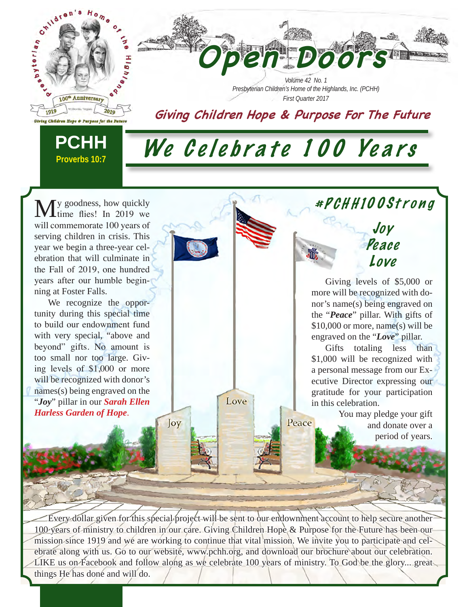

y goodness, how quickly time flies! In 2019 we will commemorate 100 years of serving children in crisis. This year we begin a three-year celebration that will culminate in the Fall of 2019, one hundred years after our humble beginning at Foster Falls.

We recognize the opportunity during this special time to build our endownment fund with very special, "above and beyond" gifts. No amount is too small nor too large. Giving levels of \$1,000 or more will be recognized with donor's names(s) being engraved on the "*Joy*" pillar in our *Sarah Ellen Harless Garden of Hope*.

Giving levels of \$5,000 or more will be recognized with donor's name(s) being engraved on the "*Peace*" pillar. With gifts of \$10,000 or more, name(s) will be engraved on the "*Love*" pillar.

Joy Pe ace

#PCH H100Strong

Love

Gifts totaling less than \$1,000 will be recognized with a personal message from our Executive Director expressing our gratitude for your participation in this celebration.

> You may pledge your gift and donate over a period of years.

Every dollar given for this special project will be sent to our endownment account to help secure another 100 years of ministry to children in our care. Giving Children Hope & Purpose for the Future has been our mission since 1919 and we are working to continue that vital mission. We invite you to participate and celebrate along with us. Go to our website, www.pchh.org, and download our brochure about our celebration. LIKE us on Facebook and follow along as we celebrate 100 years of ministry. To God be the glory... great things He has done and will do.

Love

Peace

Joy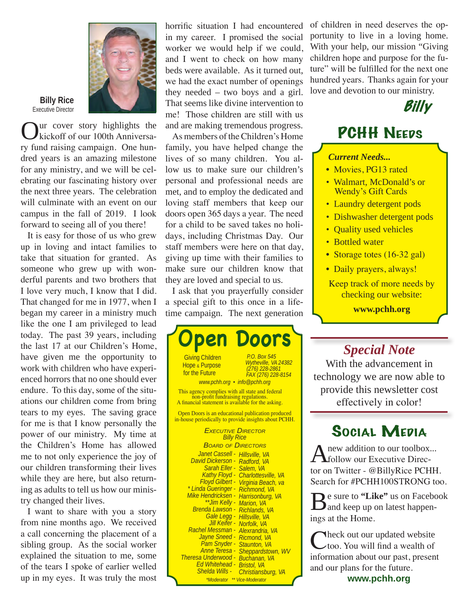

**Billy Rice** Executive Director

ur cover story highlights the kickoff of our 100th Anniversary fund raising campaign. One hundred years is an amazing milestone for any ministry, and we will be celebrating our fascinating history over the next three years. The celebration will culminate with an event on our

campus in the fall of 2019. I look

forward to seeing all of you there! It is easy for those of us who grew up in loving and intact families to take that situation for granted. As someone who grew up with wonderful parents and two brothers that I love very much, I know that I did. That changed for me in 1977, when I began my career in a ministry much like the one I am privileged to lead today. The past 39 years, including the last 17 at our Children's Home, have given me the opportunity to work with children who have experienced horrors that no one should ever endure. To this day, some of the situations our children come from bring tears to my eyes. The saving grace for me is that I know personally the power of our ministry. My time at the Children's Home has allowed me to not only experience the joy of our children transforming their lives while they are here, but also returning as adults to tell us how our ministry changed their lives.

I want to share with you a story from nine months ago. We received a call concerning the placement of a sibling group. As the social worker explained the situation to me, some of the tears I spoke of earlier welled up in my eyes. It was truly the most

horrific situation I had encountered in my career. I promised the social worker we would help if we could, and I went to check on how many beds were available. As it turned out, we had the exact number of openings they needed – two boys and a girl. That seems like divine intervention to me! Those children are still with us and are making tremendous progress.

As members of the Children's Home family, you have helped change the lives of so many children. You allow us to make sure our children's personal and professional needs are met, and to employ the dedicated and loving staff members that keep our doors open 365 days a year. The need for a child to be saved takes no holidays, including Christmas Day. Our staff members were here on that day, giving up time with their families to make sure our children know that they are loved and special to us.

I ask that you prayerfully consider a special gift to this once in a lifetime campaign. The next generation



of children in need deserves the opportunity to live in a loving home. With your help, our mission "Giving children hope and purpose for the future" will be fulfilled for the next one hundred years. Thanks again for your love and devotion to our ministry.



### **PCHH NEEDS**

#### *Current Needs...*

- Movies, PG13 rated
- Walmart, McDonald's or Wendy's Gift Cards
- Laundry detergent pods
- Dishwasher detergent pods
- Ouality used vehicles
- Bottled water
- Storage totes (16-32 gal)
- Daily prayers, always!

Keep track of more needs by checking our website: **www.pchh.org**

### *Special Note*

With the advancement in technology we are now able to provide this newsletter cost effectively in color!

### Social Media

new addition to our toolbox... follow our Executive Director on Twitter - @BillyRice PCHH. Search for #PCHH100STRONG too.

Be sure to "Like" us on Facebook<br>and keep up on latest happenings at the Home.

Theck out our updated website too. You will find a wealth of information about our past, present and our plans for the future.

**www.pchh.org**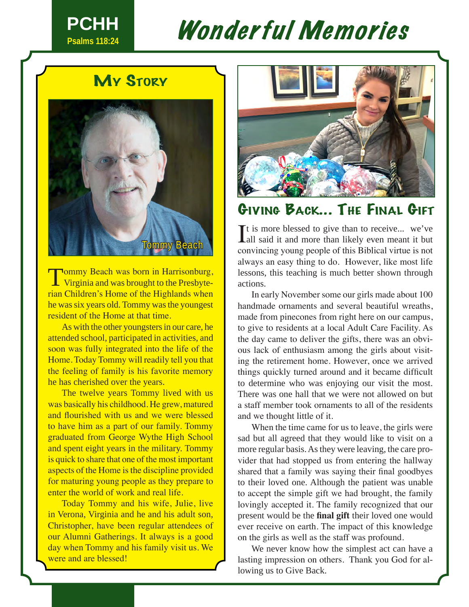

# Wonderful Memories

### **My STORY**



**Tommy Beach was born in Harrisonburg, L** Virginia and was brought to the Presbyterian Children's Home of the Highlands when he was six years old. Tommy was the youngest resident of the Home at that time.

As with the other youngsters in our care, he attended school, participated in activities, and soon was fully integrated into the life of the Home. Today Tommy will readily tell you that the feeling of family is his favorite memory he has cherished over the years.

The twelve years Tommy lived with us was basically his childhood. He grew, matured and flourished with us and we were blessed to have him as a part of our family. Tommy graduated from George Wythe High School and spent eight years in the military. Tommy is quick to share that one of the most important aspects of the Home is the discipline provided for maturing young people as they prepare to enter the world of work and real life.

Today Tommy and his wife, Julie, live in Verona, Virginia and he and his adult son, Christopher, have been regular attendees of our Alumni Gatherings. It always is a good day when Tommy and his family visit us. We were and are blessed!



### Giving Back... The Final Gift

It is more blessed to give than to receive... we've all said it and more than likely even meant it but  $\blacksquare$  t is more blessed to give than to receive... we've convincing young people of this Biblical virtue is not always an easy thing to do. However, like most life lessons, this teaching is much better shown through actions.

In early November some our girls made about 100 handmade ornaments and several beautiful wreaths, made from pinecones from right here on our campus, to give to residents at a local Adult Care Facility. As the day came to deliver the gifts, there was an obvious lack of enthusiasm among the girls about visiting the retirement home. However, once we arrived things quickly turned around and it became difficult to determine who was enjoying our visit the most. There was one hall that we were not allowed on but a staff member took ornaments to all of the residents and we thought little of it.

When the time came for us to leave, the girls were sad but all agreed that they would like to visit on a more regular basis. As they were leaving, the care provider that had stopped us from entering the hallway shared that a family was saying their final goodbyes to their loved one. Although the patient was unable to accept the simple gift we had brought, the family lovingly accepted it. The family recognized that our present would be the **final gift** their loved one would ever receive on earth. The impact of this knowledge on the girls as well as the staff was profound.

We never know how the simplest act can have a lasting impression on others. Thank you God for allowing us to Give Back.